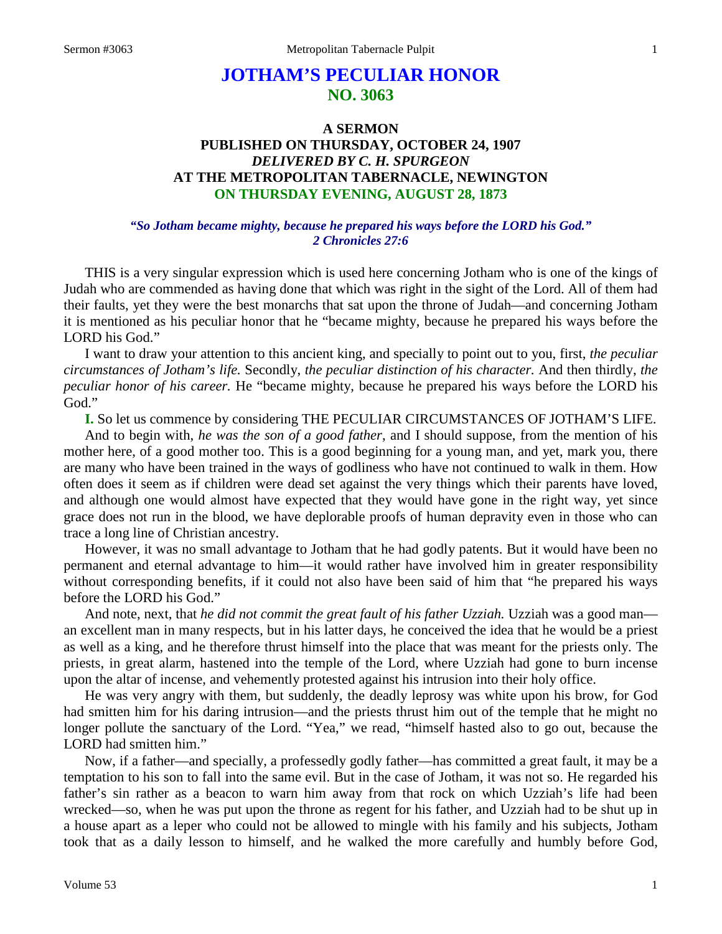# **JOTHAM'S PECULIAR HONOR NO. 3063**

## **A SERMON PUBLISHED ON THURSDAY, OCTOBER 24, 1907** *DELIVERED BY C. H. SPURGEON* **AT THE METROPOLITAN TABERNACLE, NEWINGTON ON THURSDAY EVENING, AUGUST 28, 1873**

### *"So Jotham became mighty, because he prepared his ways before the LORD his God." 2 Chronicles 27:6*

THIS is a very singular expression which is used here concerning Jotham who is one of the kings of Judah who are commended as having done that which was right in the sight of the Lord. All of them had their faults, yet they were the best monarchs that sat upon the throne of Judah—and concerning Jotham it is mentioned as his peculiar honor that he "became mighty, because he prepared his ways before the LORD his God."

I want to draw your attention to this ancient king, and specially to point out to you, first, *the peculiar circumstances of Jotham's life.* Secondly, *the peculiar distinction of his character.* And then thirdly, *the peculiar honor of his career.* He "became mighty, because he prepared his ways before the LORD his God."

**I.** So let us commence by considering THE PECULIAR CIRCUMSTANCES OF JOTHAM'S LIFE.

And to begin with, *he was the son of a good father*, and I should suppose, from the mention of his mother here, of a good mother too. This is a good beginning for a young man, and yet, mark you, there are many who have been trained in the ways of godliness who have not continued to walk in them. How often does it seem as if children were dead set against the very things which their parents have loved, and although one would almost have expected that they would have gone in the right way, yet since grace does not run in the blood, we have deplorable proofs of human depravity even in those who can trace a long line of Christian ancestry.

However, it was no small advantage to Jotham that he had godly patents. But it would have been no permanent and eternal advantage to him—it would rather have involved him in greater responsibility without corresponding benefits, if it could not also have been said of him that "he prepared his ways before the LORD his God."

And note, next, that *he did not commit the great fault of his father Uzziah.* Uzziah was a good man an excellent man in many respects, but in his latter days, he conceived the idea that he would be a priest as well as a king, and he therefore thrust himself into the place that was meant for the priests only. The priests, in great alarm, hastened into the temple of the Lord, where Uzziah had gone to burn incense upon the altar of incense, and vehemently protested against his intrusion into their holy office.

He was very angry with them, but suddenly, the deadly leprosy was white upon his brow*,* for God had smitten him for his daring intrusion—and the priests thrust him out of the temple that he might no longer pollute the sanctuary of the Lord. "Yea," we read, "himself hasted also to go out, because the LORD had smitten him."

Now, if a father—and specially, a professedly godly father—has committed a great fault, it may be a temptation to his son to fall into the same evil. But in the case of Jotham, it was not so. He regarded his father's sin rather as a beacon to warn him away from that rock on which Uzziah's life had been wrecked—so, when he was put upon the throne as regent for his father, and Uzziah had to be shut up in a house apart as a leper who could not be allowed to mingle with his family and his subjects, Jotham took that as a daily lesson to himself, and he walked the more carefully and humbly before God,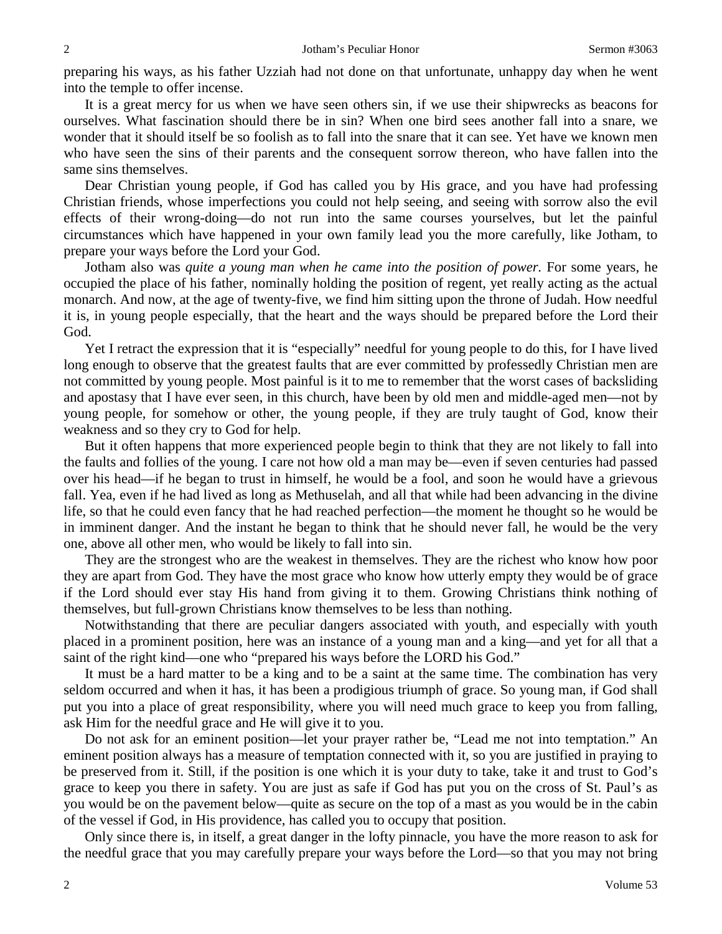preparing his ways, as his father Uzziah had not done on that unfortunate, unhappy day when he went into the temple to offer incense.

It is a great mercy for us when we have seen others sin*,* if we use their shipwrecks as beacons for ourselves. What fascination should there be in sin? When one bird sees another fall into a snare, we wonder that it should itself be so foolish as to fall into the snare that it can see. Yet have we known men who have seen the sins of their parents and the consequent sorrow thereon, who have fallen into the same sins themselves.

Dear Christian young people, if God has called you by His grace, and you have had professing Christian friends, whose imperfections you could not help seeing, and seeing with sorrow also the evil effects of their wrong-doing—do not run into the same courses yourselves, but let the painful circumstances which have happened in your own family lead you the more carefully, like Jotham, to prepare your ways before the Lord your God.

Jotham also was *quite a young man when he came into the position of power.* For some years, he occupied the place of his father, nominally holding the position of regent, yet really acting as the actual monarch. And now, at the age of twenty-five, we find him sitting upon the throne of Judah. How needful it is, in young people especially, that the heart and the ways should be prepared before the Lord their God.

Yet I retract the expression that it is "especially" needful for young people to do this, for I have lived long enough to observe that the greatest faults that are ever committed by professedly Christian men are not committed by young people. Most painful is it to me to remember that the worst cases of backsliding and apostasy that I have ever seen, in this church, have been by old men and middle-aged men—not by young people, for somehow or other, the young people, if they are truly taught of God, know their weakness and so they cry to God for help.

But it often happens that more experienced people begin to think that they are not likely to fall into the faults and follies of the young. I care not how old a man may be—even if seven centuries had passed over his head—if he began to trust in himself, he would be a fool, and soon he would have a grievous fall. Yea, even if he had lived as long as Methuselah, and all that while had been advancing in the divine life, so that he could even fancy that he had reached perfection—the moment he thought so he would be in imminent danger. And the instant he began to think that he should never fall, he would be the very one, above all other men, who would be likely to fall into sin.

They are the strongest who are the weakest in themselves. They are the richest who know how poor they are apart from God. They have the most grace who know how utterly empty they would be of grace if the Lord should ever stay His hand from giving it to them. Growing Christians think nothing of themselves, but full-grown Christians know themselves to be less than nothing.

Notwithstanding that there are peculiar dangers associated with youth, and especially with youth placed in a prominent position, here was an instance of a young man and a king—and yet for all that a saint of the right kind—one who "prepared his ways before the LORD his God."

It must be a hard matter to be a king and to be a saint at the same time. The combination has very seldom occurred and when it has, it has been a prodigious triumph of grace. So young man, if God shall put you into a place of great responsibility, where you will need much grace to keep you from falling, ask Him for the needful grace and He will give it to you.

Do not ask for an eminent position—let your prayer rather be, "Lead me not into temptation." An eminent position always has a measure of temptation connected with it, so you are justified in praying to be preserved from it. Still, if the position is one which it is your duty to take, take it and trust to God's grace to keep you there in safety. You are just as safe if God has put you on the cross of St. Paul's as you would be on the pavement below—quite as secure on the top of a mast as you would be in the cabin of the vessel if God, in His providence, has called you to occupy that position.

Only since there is, in itself, a great danger in the lofty pinnacle, you have the more reason to ask for the needful grace that you may carefully prepare your ways before the Lord—so that you may not bring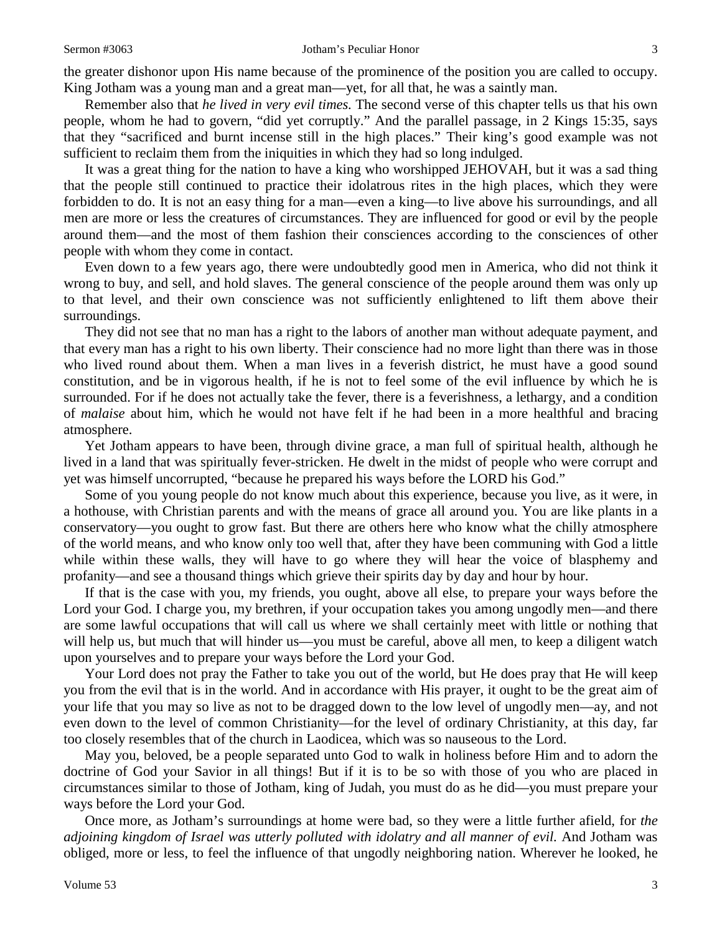the greater dishonor upon His name because of the prominence of the position you are called to occupy. King Jotham was a young man and a great man—yet, for all that, he was a saintly man.

Remember also that *he lived in very evil times.* The second verse of this chapter tells us that his own people, whom he had to govern, "did yet corruptly." And the parallel passage, in 2 Kings 15:35, says that they "sacrificed and burnt incense still in the high places." Their king's good example was not sufficient to reclaim them from the iniquities in which they had so long indulged.

It was a great thing for the nation to have a king who worshipped JEHOVAH, but it was a sad thing that the people still continued to practice their idolatrous rites in the high places, which they were forbidden to do. It is not an easy thing for a man—even a king—to live above his surroundings, and all men are more or less the creatures of circumstances. They are influenced for good or evil by the people around them—and the most of them fashion their consciences according to the consciences of other people with whom they come in contact.

Even down to a few years ago, there were undoubtedly good men in America, who did not think it wrong to buy, and sell, and hold slaves. The general conscience of the people around them was only up to that level, and their own conscience was not sufficiently enlightened to lift them above their surroundings.

They did not see that no man has a right to the labors of another man without adequate payment, and that every man has a right to his own liberty. Their conscience had no more light than there was in those who lived round about them. When a man lives in a feverish district, he must have a good sound constitution, and be in vigorous health, if he is not to feel some of the evil influence by which he is surrounded. For if he does not actually take the fever, there is a feverishness, a lethargy, and a condition of *malaise* about him, which he would not have felt if he had been in a more healthful and bracing atmosphere.

Yet Jotham appears to have been, through divine grace, a man full of spiritual health, although he lived in a land that was spiritually fever-stricken. He dwelt in the midst of people who were corrupt and yet was himself uncorrupted, "because he prepared his ways before the LORD his God."

Some of you young people do not know much about this experience, because you live, as it were, in a hothouse, with Christian parents and with the means of grace all around you. You are like plants in a conservatory—you ought to grow fast. But there are others here who know what the chilly atmosphere of the world means, and who know only too well that, after they have been communing with God a little while within these walls, they will have to go where they will hear the voice of blasphemy and profanity—and see a thousand things which grieve their spirits day by day and hour by hour.

If that is the case with you, my friends, you ought, above all else, to prepare your ways before the Lord your God. I charge you, my brethren, if your occupation takes you among ungodly men—and there are some lawful occupations that will call us where we shall certainly meet with little or nothing that will help us, but much that will hinder us—you must be careful, above all men, to keep a diligent watch upon yourselves and to prepare your ways before the Lord your God.

Your Lord does not pray the Father to take you out of the world, but He does pray that He will keep you from the evil that is in the world. And in accordance with His prayer, it ought to be the great aim of your life that you may so live as not to be dragged down to the low level of ungodly men—ay, and not even down to the level of common Christianity—for the level of ordinary Christianity, at this day, far too closely resembles that of the church in Laodicea, which was so nauseous to the Lord.

May you, beloved, be a people separated unto God to walk in holiness before Him and to adorn the doctrine of God your Savior in all things! But if it is to be so with those of you who are placed in circumstances similar to those of Jotham, king of Judah, you must do as he did—you must prepare your ways before the Lord your God.

Once more, as Jotham's surroundings at home were bad, so they were a little further afield, for *the adjoining kingdom of Israel was utterly polluted with idolatry and all manner of evil.* And Jotham was obliged, more or less, to feel the influence of that ungodly neighboring nation. Wherever he looked, he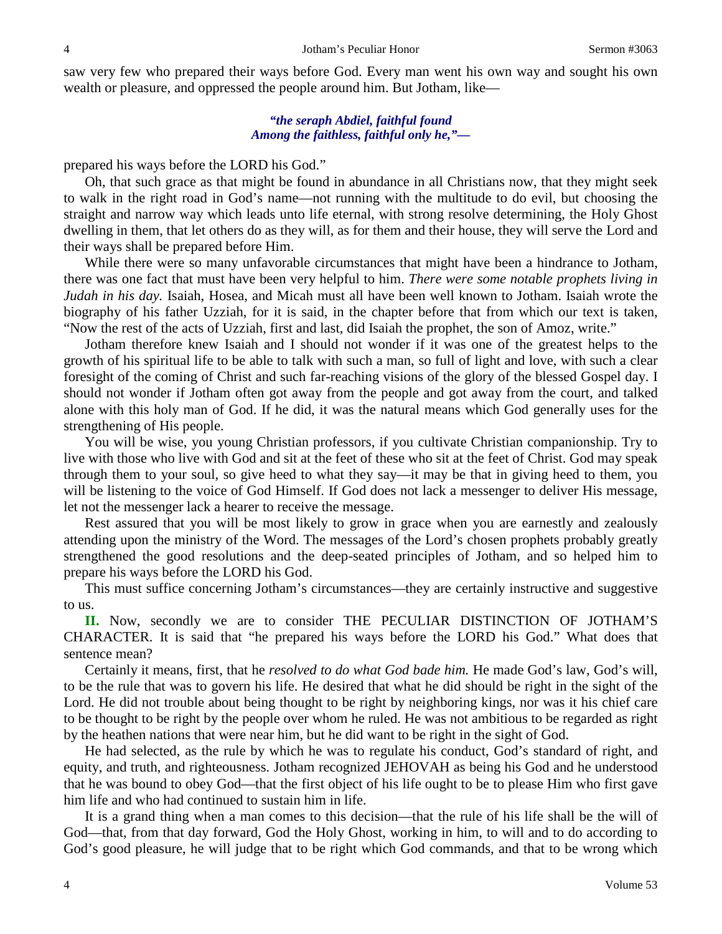saw very few who prepared their ways before God. Every man went his own way and sought his own wealth or pleasure, and oppressed the people around him. But Jotham, like—

### *"the seraph Abdiel, faithful found Among the faithless, faithful only he,"—*

prepared his ways before the LORD his God."

Oh, that such grace as that might be found in abundance in all Christians now, that they might seek to walk in the right road in God's name—not running with the multitude to do evil, but choosing the straight and narrow way which leads unto life eternal, with strong resolve determining, the Holy Ghost dwelling in them, that let others do as they will, as for them and their house, they will serve the Lord and their ways shall be prepared before Him.

While there were so many unfavorable circumstances that might have been a hindrance to Jotham, there was one fact that must have been very helpful to him. *There were some notable prophets living in Judah in his day.* Isaiah, Hosea, and Micah must all have been well known to Jotham. Isaiah wrote the biography of his father Uzziah, for it is said, in the chapter before that from which our text is taken, "Now the rest of the acts of Uzziah, first and last, did Isaiah the prophet, the son of Amoz, write."

Jotham therefore knew Isaiah and I should not wonder if it was one of the greatest helps to the growth of his spiritual life to be able to talk with such a man, so full of light and love, with such a clear foresight of the coming of Christ and such far-reaching visions of the glory of the blessed Gospel day. I should not wonder if Jotham often got away from the people and got away from the court, and talked alone with this holy man of God. If he did, it was the natural means which God generally uses for the strengthening of His people.

You will be wise, you young Christian professors, if you cultivate Christian companionship. Try to live with those who live with God and sit at the feet of these who sit at the feet of Christ. God may speak through them to your soul, so give heed to what they say—it may be that in giving heed to them, you will be listening to the voice of God Himself. If God does not lack a messenger to deliver His message, let not the messenger lack a hearer to receive the message.

Rest assured that you will be most likely to grow in grace when you are earnestly and zealously attending upon the ministry of the Word. The messages of the Lord's chosen prophets probably greatly strengthened the good resolutions and the deep-seated principles of Jotham, and so helped him to prepare his ways before the LORD his God.

This must suffice concerning Jotham's circumstances—they are certainly instructive and suggestive to us.

**II.** Now, secondly we are to consider THE PECULIAR DISTINCTION OF JOTHAM'S CHARACTER. It is said that "he prepared his ways before the LORD his God." What does that sentence mean?

Certainly it means, first, that he *resolved to do what God bade him.* He made God's law, God's will, to be the rule that was to govern his life. He desired that what he did should be right in the sight of the Lord. He did not trouble about being thought to be right by neighboring kings, nor was it his chief care to be thought to be right by the people over whom he ruled. He was not ambitious to be regarded as right by the heathen nations that were near him, but he did want to be right in the sight of God.

He had selected, as the rule by which he was to regulate his conduct, God's standard of right, and equity, and truth, and righteousness. Jotham recognized JEHOVAH as being his God and he understood that he was bound to obey God—that the first object of his life ought to be to please Him who first gave him life and who had continued to sustain him in life.

It is a grand thing when a man comes to this decision—that the rule of his life shall be the will of God—that, from that day forward, God the Holy Ghost, working in him, to will and to do according to God's good pleasure, he will judge that to be right which God commands, and that to be wrong which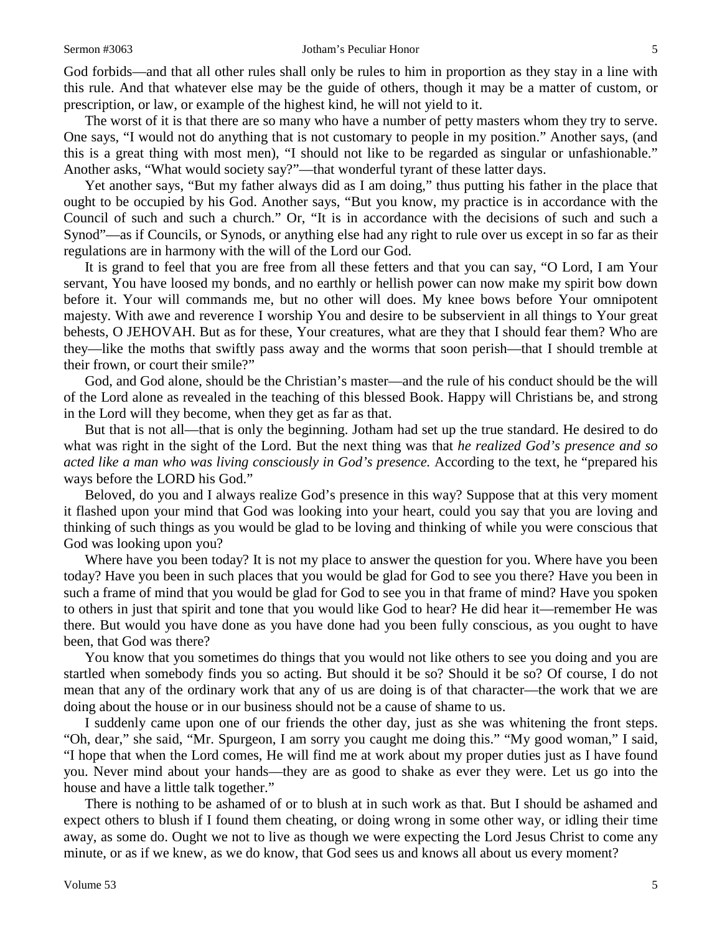#### Sermon #3063 **Sermon #3063** Jotham's Peculiar Honor 5

God forbids—and that all other rules shall only be rules to him in proportion as they stay in a line with this rule. And that whatever else may be the guide of others, though it may be a matter of custom, or prescription, or law, or example of the highest kind, he will not yield to it.

The worst of it is that there are so many who have a number of petty masters whom they try to serve. One says, "I would not do anything that is not customary to people in my position." Another says, (and this is a great thing with most men), "I should not like to be regarded as singular or unfashionable." Another asks, "What would society say?"—that wonderful tyrant of these latter days.

Yet another says, "But my father always did as I am doing," thus putting his father in the place that ought to be occupied by his God. Another says, "But you know, my practice is in accordance with the Council of such and such a church." Or, "It is in accordance with the decisions of such and such a Synod"—as if Councils, or Synods, or anything else had any right to rule over us except in so far as their regulations are in harmony with the will of the Lord our God.

It is grand to feel that you are free from all these fetters and that you can say, "O Lord, I am Your servant, You have loosed my bonds, and no earthly or hellish power can now make my spirit bow down before it. Your will commands me, but no other will does. My knee bows before Your omnipotent majesty. With awe and reverence I worship You and desire to be subservient in all things to Your great behests, O JEHOVAH. But as for these, Your creatures, what are they that I should fear them? Who are they—like the moths that swiftly pass away and the worms that soon perish—that I should tremble at their frown, or court their smile?"

God, and God alone, should be the Christian's master—and the rule of his conduct should be the will of the Lord alone as revealed in the teaching of this blessed Book. Happy will Christians be, and strong in the Lord will they become, when they get as far as that.

But that is not all—that is only the beginning. Jotham had set up the true standard. He desired to do what was right in the sight of the Lord. But the next thing was that *he realized God's presence and so acted like a man who was living consciously in God's presence.* According to the text, he "prepared his ways before the LORD his God."

Beloved, do you and I always realize God's presence in this way? Suppose that at this very moment it flashed upon your mind that God was looking into your heart, could you say that you are loving and thinking of such things as you would be glad to be loving and thinking of while you were conscious that God was looking upon you?

Where have you been today? It is not my place to answer the question for you. Where have you been today? Have you been in such places that you would be glad for God to see you there? Have you been in such a frame of mind that you would be glad for God to see you in that frame of mind? Have you spoken to others in just that spirit and tone that you would like God to hear? He did hear it—remember He was there. But would you have done as you have done had you been fully conscious, as you ought to have been, that God was there?

You know that you sometimes do things that you would not like others to see you doing and you are startled when somebody finds you so acting. But should it be so? Should it be so? Of course, I do not mean that any of the ordinary work that any of us are doing is of that character—the work that we are doing about the house or in our business should not be a cause of shame to us.

I suddenly came upon one of our friends the other day, just as she was whitening the front steps. "Oh, dear," she said, "Mr. Spurgeon, I am sorry you caught me doing this." "My good woman," I said, "I hope that when the Lord comes, He will find me at work about my proper duties just as I have found you. Never mind about your hands—they are as good to shake as ever they were. Let us go into the house and have a little talk together."

There is nothing to be ashamed of or to blush at in such work as that. But I should be ashamed and expect others to blush if I found them cheating, or doing wrong in some other way, or idling their time away, as some do. Ought we not to live as though we were expecting the Lord Jesus Christ to come any minute, or as if we knew, as we do know, that God sees us and knows all about us every moment?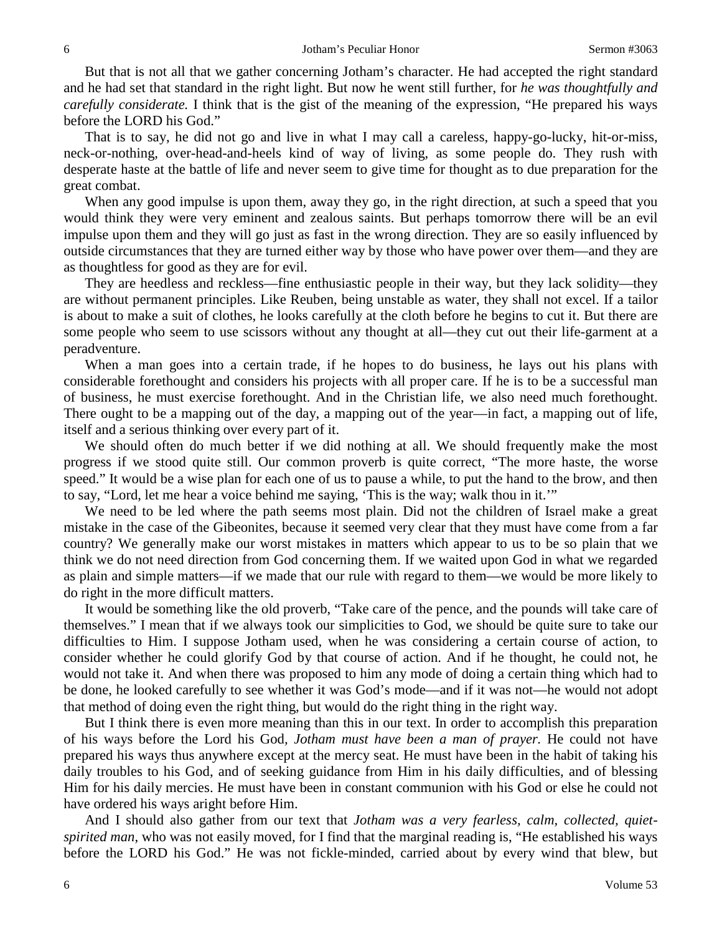But that is not all that we gather concerning Jotham's character. He had accepted the right standard and he had set that standard in the right light. But now he went still further, for *he was thoughtfully and carefully considerate.* I think that is the gist of the meaning of the expression, "He prepared his ways before the LORD his God."

That is to say, he did not go and live in what I may call a careless, happy-go-lucky, hit-or-miss, neck-or-nothing, over-head-and-heels kind of way of living, as some people do. They rush with desperate haste at the battle of life and never seem to give time for thought as to due preparation for the great combat.

When any good impulse is upon them, away they go, in the right direction, at such a speed that you would think they were very eminent and zealous saints. But perhaps tomorrow there will be an evil impulse upon them and they will go just as fast in the wrong direction. They are so easily influenced by outside circumstances that they are turned either way by those who have power over them—and they are as thoughtless for good as they are for evil.

They are heedless and reckless—fine enthusiastic people in their way, but they lack solidity—they are without permanent principles. Like Reuben, being unstable as water, they shall not excel. If a tailor is about to make a suit of clothes, he looks carefully at the cloth before he begins to cut it. But there are some people who seem to use scissors without any thought at all—they cut out their life-garment at a peradventure.

When a man goes into a certain trade, if he hopes to do business, he lays out his plans with considerable forethought and considers his projects with all proper care. If he is to be a successful man of business, he must exercise forethought. And in the Christian life, we also need much forethought. There ought to be a mapping out of the day, a mapping out of the year—in fact, a mapping out of life, itself and a serious thinking over every part of it.

We should often do much better if we did nothing at all. We should frequently make the most progress if we stood quite still. Our common proverb is quite correct, "The more haste, the worse speed." It would be a wise plan for each one of us to pause a while, to put the hand to the brow, and then to say, "Lord, let me hear a voice behind me saying, 'This is the way; walk thou in it.'"

We need to be led where the path seems most plain. Did not the children of Israel make a great mistake in the case of the Gibeonites, because it seemed very clear that they must have come from a far country? We generally make our worst mistakes in matters which appear to us to be so plain that we think we do not need direction from God concerning them. If we waited upon God in what we regarded as plain and simple matters—if we made that our rule with regard to them—we would be more likely to do right in the more difficult matters.

It would be something like the old proverb, "Take care of the pence, and the pounds will take care of themselves." I mean that if we always took our simplicities to God, we should be quite sure to take our difficulties to Him. I suppose Jotham used, when he was considering a certain course of action, to consider whether he could glorify God by that course of action. And if he thought, he could not, he would not take it. And when there was proposed to him any mode of doing a certain thing which had to be done, he looked carefully to see whether it was God's mode—and if it was not—he would not adopt that method of doing even the right thing, but would do the right thing in the right way.

But I think there is even more meaning than this in our text. In order to accomplish this preparation of his ways before the Lord his God*, Jotham must have been a man of prayer.* He could not have prepared his ways thus anywhere except at the mercy seat. He must have been in the habit of taking his daily troubles to his God, and of seeking guidance from Him in his daily difficulties, and of blessing Him for his daily mercies. He must have been in constant communion with his God or else he could not have ordered his ways aright before Him.

And I should also gather from our text that *Jotham was a very fearless, calm, collected, quietspirited man*, who was not easily moved, for I find that the marginal reading is, "He established his ways before the LORD his God." He was not fickle-minded, carried about by every wind that blew, but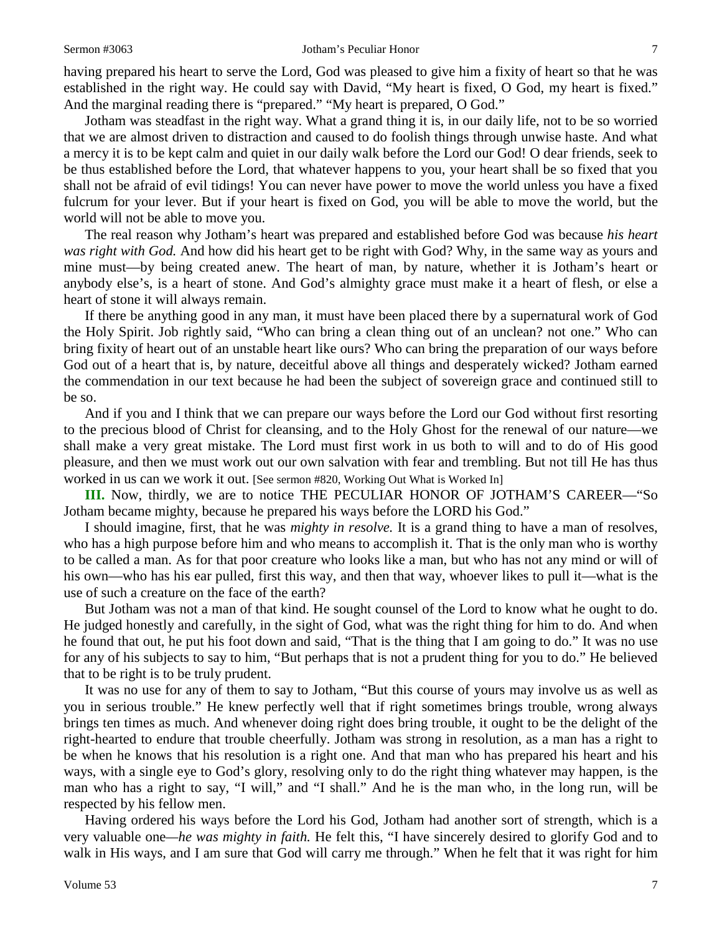having prepared his heart to serve the Lord, God was pleased to give him a fixity of heart so that he was established in the right way. He could say with David, "My heart is fixed, O God, my heart is fixed." And the marginal reading there is "prepared." "My heart is prepared, O God."

Jotham was steadfast in the right way. What a grand thing it is, in our daily life, not to be so worried that we are almost driven to distraction and caused to do foolish things through unwise haste. And what a mercy it is to be kept calm and quiet in our daily walk before the Lord our God! O dear friends, seek to be thus established before the Lord, that whatever happens to you, your heart shall be so fixed that you shall not be afraid of evil tidings! You can never have power to move the world unless you have a fixed fulcrum for your lever. But if your heart is fixed on God, you will be able to move the world, but the world will not be able to move you.

The real reason why Jotham's heart was prepared and established before God was because *his heart was right with God.* And how did his heart get to be right with God? Why, in the same way as yours and mine must—by being created anew. The heart of man, by nature, whether it is Jotham's heart or anybody else's, is a heart of stone. And God's almighty grace must make it a heart of flesh, or else a heart of stone it will always remain.

If there be anything good in any man, it must have been placed there by a supernatural work of God the Holy Spirit. Job rightly said, "Who can bring a clean thing out of an unclean? not one." Who can bring fixity of heart out of an unstable heart like ours? Who can bring the preparation of our ways before God out of a heart that is, by nature, deceitful above all things and desperately wicked? Jotham earned the commendation in our text because he had been the subject of sovereign grace and continued still to be so.

And if you and I think that we can prepare our ways before the Lord our God without first resorting to the precious blood of Christ for cleansing, and to the Holy Ghost for the renewal of our nature—we shall make a very great mistake. The Lord must first work in us both to will and to do of His good pleasure, and then we must work out our own salvation with fear and trembling. But not till He has thus worked in us can we work it out. [See sermon #820, Working Out What is Worked In]

**III.** Now, thirdly, we are to notice THE PECULIAR HONOR OF JOTHAM'S CAREER—"So Jotham became mighty, because he prepared his ways before the LORD his God."

I should imagine, first, that he was *mighty in resolve.* It is a grand thing to have a man of resolves, who has a high purpose before him and who means to accomplish it. That is the only man who is worthy to be called a man. As for that poor creature who looks like a man, but who has not any mind or will of his own—who has his ear pulled, first this way, and then that way, whoever likes to pull it—what is the use of such a creature on the face of the earth?

But Jotham was not a man of that kind. He sought counsel of the Lord to know what he ought to do. He judged honestly and carefully, in the sight of God, what was the right thing for him to do. And when he found that out, he put his foot down and said, "That is the thing that I am going to do." It was no use for any of his subjects to say to him, "But perhaps that is not a prudent thing for you to do." He believed that to be right is to be truly prudent.

It was no use for any of them to say to Jotham, "But this course of yours may involve us as well as you in serious trouble." He knew perfectly well that if right sometimes brings trouble, wrong always brings ten times as much. And whenever doing right does bring trouble, it ought to be the delight of the right-hearted to endure that trouble cheerfully. Jotham was strong in resolution, as a man has a right to be when he knows that his resolution is a right one. And that man who has prepared his heart and his ways, with a single eye to God's glory, resolving only to do the right thing whatever may happen, is the man who has a right to say, "I will," and "I shall." And he is the man who, in the long run, will be respected by his fellow men.

Having ordered his ways before the Lord his God, Jotham had another sort of strength, which is a very valuable one*—he was mighty in faith.* He felt this, "I have sincerely desired to glorify God and to walk in His ways, and I am sure that God will carry me through." When he felt that it was right for him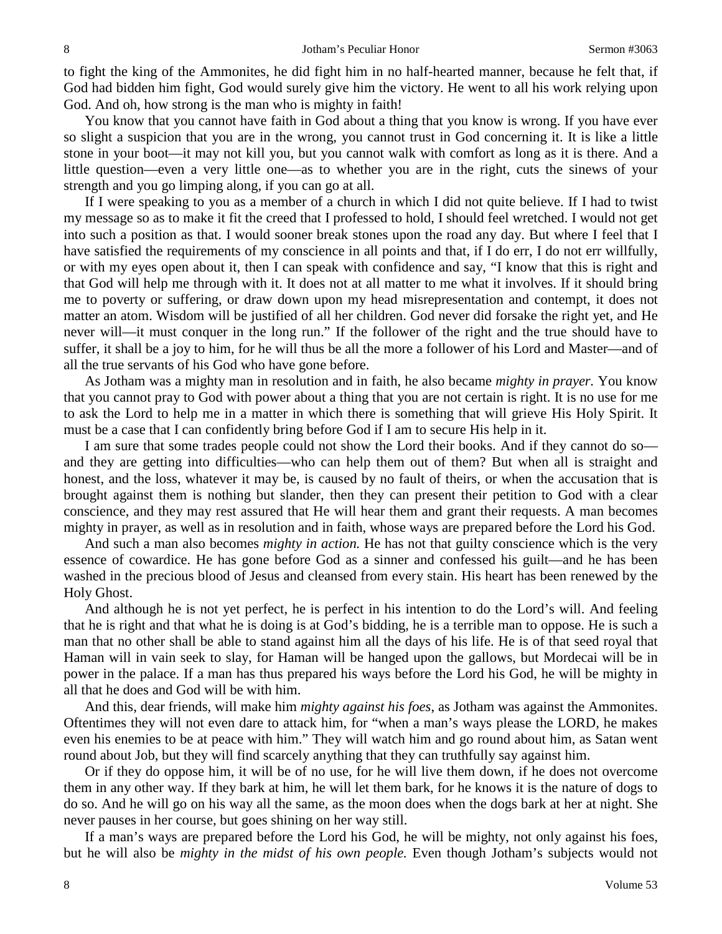to fight the king of the Ammonites, he did fight him in no half-hearted manner, because he felt that, if God had bidden him fight, God would surely give him the victory. He went to all his work relying upon God. And oh, how strong is the man who is mighty in faith!

You know that you cannot have faith in God about a thing that you know is wrong. If you have ever so slight a suspicion that you are in the wrong, you cannot trust in God concerning it. It is like a little stone in your boot—it may not kill you, but you cannot walk with comfort as long as it is there. And a little question—even a very little one—as to whether you are in the right, cuts the sinews of your strength and you go limping along, if you can go at all.

If I were speaking to you as a member of a church in which I did not quite believe. If I had to twist my message so as to make it fit the creed that I professed to hold, I should feel wretched. I would not get into such a position as that. I would sooner break stones upon the road any day. But where I feel that I have satisfied the requirements of my conscience in all points and that, if I do err, I do not err willfully, or with my eyes open about it, then I can speak with confidence and say, "I know that this is right and that God will help me through with it. It does not at all matter to me what it involves. If it should bring me to poverty or suffering, or draw down upon my head misrepresentation and contempt, it does not matter an atom. Wisdom will be justified of all her children. God never did forsake the right yet, and He never will—it must conquer in the long run." If the follower of the right and the true should have to suffer, it shall be a joy to him, for he will thus be all the more a follower of his Lord and Master—and of all the true servants of his God who have gone before.

As Jotham was a mighty man in resolution and in faith, he also became *mighty in prayer.* You know that you cannot pray to God with power about a thing that you are not certain is right. It is no use for me to ask the Lord to help me in a matter in which there is something that will grieve His Holy Spirit. It must be a case that I can confidently bring before God if I am to secure His help in it.

I am sure that some trades people could not show the Lord their books. And if they cannot do so and they are getting into difficulties—who can help them out of them? But when all is straight and honest, and the loss, whatever it may be, is caused by no fault of theirs, or when the accusation that is brought against them is nothing but slander, then they can present their petition to God with a clear conscience, and they may rest assured that He will hear them and grant their requests. A man becomes mighty in prayer, as well as in resolution and in faith, whose ways are prepared before the Lord his God.

And such a man also becomes *mighty in action.* He has not that guilty conscience which is the very essence of cowardice. He has gone before God as a sinner and confessed his guilt—and he has been washed in the precious blood of Jesus and cleansed from every stain. His heart has been renewed by the Holy Ghost.

And although he is not yet perfect, he is perfect in his intention to do the Lord's will. And feeling that he is right and that what he is doing is at God's bidding, he is a terrible man to oppose. He is such a man that no other shall be able to stand against him all the days of his life. He is of that seed royal that Haman will in vain seek to slay, for Haman will be hanged upon the gallows, but Mordecai will be in power in the palace. If a man has thus prepared his ways before the Lord his God, he will be mighty in all that he does and God will be with him.

And this, dear friends, will make him *mighty against his foes*, as Jotham was against the Ammonites. Oftentimes they will not even dare to attack him, for "when a man's ways please the LORD, he makes even his enemies to be at peace with him." They will watch him and go round about him, as Satan went round about Job, but they will find scarcely anything that they can truthfully say against him.

Or if they do oppose him, it will be of no use, for he will live them down, if he does not overcome them in any other way. If they bark at him, he will let them bark, for he knows it is the nature of dogs to do so. And he will go on his way all the same, as the moon does when the dogs bark at her at night. She never pauses in her course, but goes shining on her way still.

If a man's ways are prepared before the Lord his God, he will be mighty, not only against his foes, but he will also be *mighty in the midst of his own people.* Even though Jotham's subjects would not